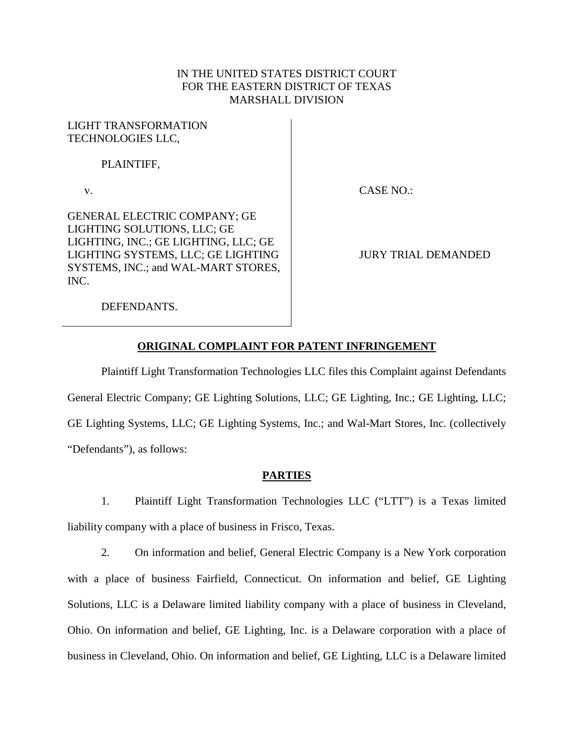# IN THE UNITED STATES DISTRICT COURT FOR THE EASTERN DISTRICT OF TEXAS MARSHALL DIVISION

LIGHT TRANSFORMATION TECHNOLOGIES LLC,

### PLAINTIFF,

v.

GENERAL ELECTRIC COMPANY; GE LIGHTING SOLUTIONS, LLC; GE LIGHTING, INC.; GE LIGHTING, LLC; GE LIGHTING SYSTEMS, LLC; GE LIGHTING SYSTEMS, INC.; and WAL-MART STORES, INC.

CASE NO.:

JURY TRIAL DEMANDED

DEFENDANTS.

# **ORIGINAL COMPLAINT FOR PATENT INFRINGEMENT**

Plaintiff Light Transformation Technologies LLC files this Complaint against Defendants General Electric Company; GE Lighting Solutions, LLC; GE Lighting, Inc.; GE Lighting, LLC; GE Lighting Systems, LLC; GE Lighting Systems, Inc.; and Wal-Mart Stores, Inc. (collectively "Defendants"), as follows:

## **PARTIES**

1. Plaintiff Light Transformation Technologies LLC ("LTT") is a Texas limited liability company with a place of business in Frisco, Texas.

2. On information and belief, General Electric Company is a New York corporation with a place of business Fairfield, Connecticut. On information and belief, GE Lighting Solutions, LLC is a Delaware limited liability company with a place of business in Cleveland, Ohio. On information and belief, GE Lighting, Inc. is a Delaware corporation with a place of business in Cleveland, Ohio. On information and belief, GE Lighting, LLC is a Delaware limited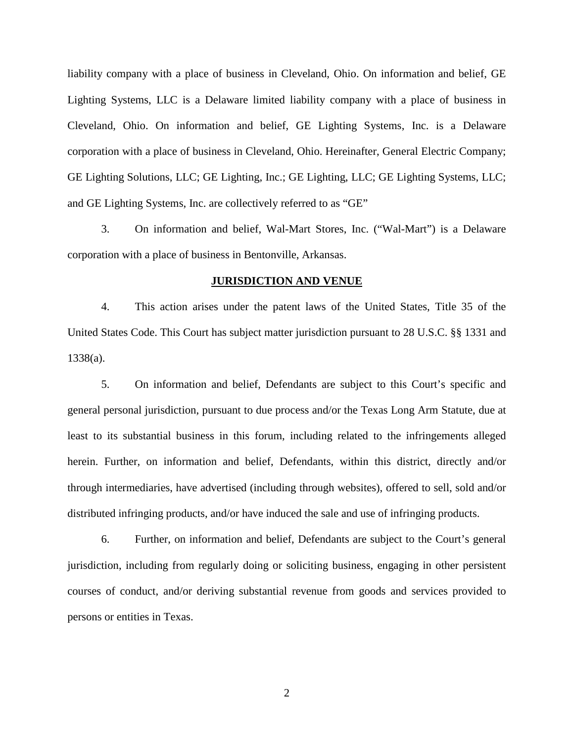liability company with a place of business in Cleveland, Ohio. On information and belief, GE Lighting Systems, LLC is a Delaware limited liability company with a place of business in Cleveland, Ohio. On information and belief, GE Lighting Systems, Inc. is a Delaware corporation with a place of business in Cleveland, Ohio. Hereinafter, General Electric Company; GE Lighting Solutions, LLC; GE Lighting, Inc.; GE Lighting, LLC; GE Lighting Systems, LLC; and GE Lighting Systems, Inc. are collectively referred to as "GE"

3. On information and belief, Wal-Mart Stores, Inc. ("Wal-Mart") is a Delaware corporation with a place of business in Bentonville, Arkansas.

#### **JURISDICTION AND VENUE**

4. This action arises under the patent laws of the United States, Title 35 of the United States Code. This Court has subject matter jurisdiction pursuant to 28 U.S.C. §§ 1331 and 1338(a).

5. On information and belief, Defendants are subject to this Court's specific and general personal jurisdiction, pursuant to due process and/or the Texas Long Arm Statute, due at least to its substantial business in this forum, including related to the infringements alleged herein. Further, on information and belief, Defendants, within this district, directly and/or through intermediaries, have advertised (including through websites), offered to sell, sold and/or distributed infringing products, and/or have induced the sale and use of infringing products.

6. Further, on information and belief, Defendants are subject to the Court's general jurisdiction, including from regularly doing or soliciting business, engaging in other persistent courses of conduct, and/or deriving substantial revenue from goods and services provided to persons or entities in Texas.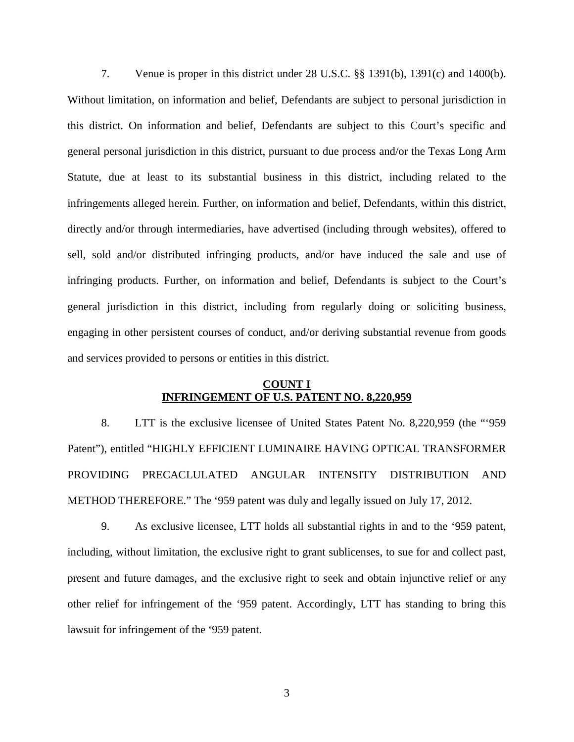7. Venue is proper in this district under 28 U.S.C. §§ 1391(b), 1391(c) and 1400(b). Without limitation, on information and belief, Defendants are subject to personal jurisdiction in this district. On information and belief, Defendants are subject to this Court's specific and general personal jurisdiction in this district, pursuant to due process and/or the Texas Long Arm Statute, due at least to its substantial business in this district, including related to the infringements alleged herein. Further, on information and belief, Defendants, within this district, directly and/or through intermediaries, have advertised (including through websites), offered to sell, sold and/or distributed infringing products, and/or have induced the sale and use of infringing products. Further, on information and belief, Defendants is subject to the Court's general jurisdiction in this district, including from regularly doing or soliciting business, engaging in other persistent courses of conduct, and/or deriving substantial revenue from goods and services provided to persons or entities in this district.

## **COUNT I INFRINGEMENT OF U.S. PATENT NO. 8,220,959**

8. LTT is the exclusive licensee of United States Patent No. 8,220,959 (the "'959 Patent"), entitled "HIGHLY EFFICIENT LUMINAIRE HAVING OPTICAL TRANSFORMER PROVIDING PRECACLULATED ANGULAR INTENSITY DISTRIBUTION AND METHOD THEREFORE." The '959 patent was duly and legally issued on July 17, 2012.

9. As exclusive licensee, LTT holds all substantial rights in and to the '959 patent, including, without limitation, the exclusive right to grant sublicenses, to sue for and collect past, present and future damages, and the exclusive right to seek and obtain injunctive relief or any other relief for infringement of the '959 patent. Accordingly, LTT has standing to bring this lawsuit for infringement of the '959 patent.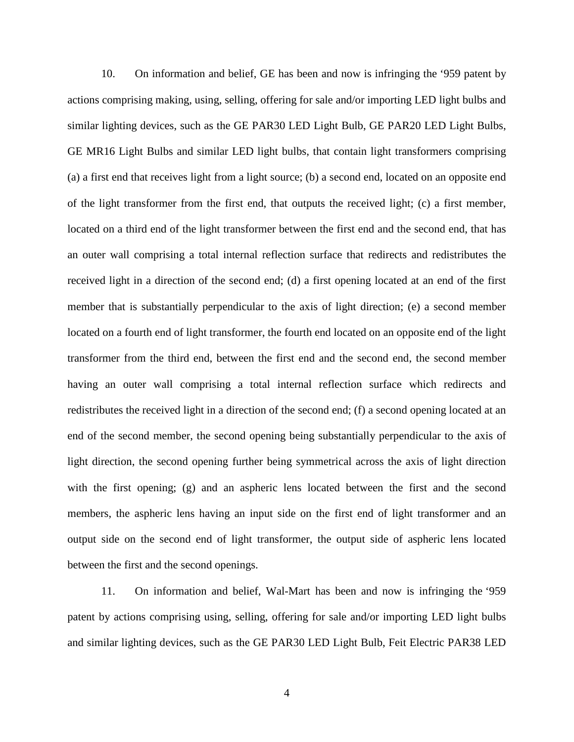10. On information and belief, GE has been and now is infringing the '959 patent by actions comprising making, using, selling, offering for sale and/or importing LED light bulbs and similar lighting devices, such as the GE PAR30 LED Light Bulb, GE PAR20 LED Light Bulbs, GE MR16 Light Bulbs and similar LED light bulbs, that contain light transformers comprising (a) a first end that receives light from a light source; (b) a second end, located on an opposite end of the light transformer from the first end, that outputs the received light; (c) a first member, located on a third end of the light transformer between the first end and the second end, that has an outer wall comprising a total internal reflection surface that redirects and redistributes the received light in a direction of the second end; (d) a first opening located at an end of the first member that is substantially perpendicular to the axis of light direction; (e) a second member located on a fourth end of light transformer, the fourth end located on an opposite end of the light transformer from the third end, between the first end and the second end, the second member having an outer wall comprising a total internal reflection surface which redirects and redistributes the received light in a direction of the second end; (f) a second opening located at an end of the second member, the second opening being substantially perpendicular to the axis of light direction, the second opening further being symmetrical across the axis of light direction with the first opening; (g) and an aspheric lens located between the first and the second members, the aspheric lens having an input side on the first end of light transformer and an output side on the second end of light transformer, the output side of aspheric lens located between the first and the second openings.

11. On information and belief, Wal-Mart has been and now is infringing the '959 patent by actions comprising using, selling, offering for sale and/or importing LED light bulbs and similar lighting devices, such as the GE PAR30 LED Light Bulb, Feit Electric PAR38 LED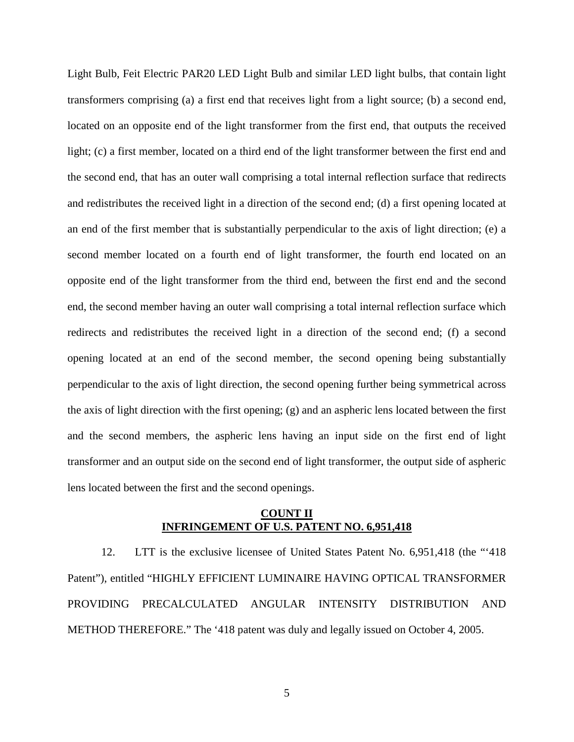Light Bulb, Feit Electric PAR20 LED Light Bulb and similar LED light bulbs, that contain light transformers comprising (a) a first end that receives light from a light source; (b) a second end, located on an opposite end of the light transformer from the first end, that outputs the received light; (c) a first member, located on a third end of the light transformer between the first end and the second end, that has an outer wall comprising a total internal reflection surface that redirects and redistributes the received light in a direction of the second end; (d) a first opening located at an end of the first member that is substantially perpendicular to the axis of light direction; (e) a second member located on a fourth end of light transformer, the fourth end located on an opposite end of the light transformer from the third end, between the first end and the second end, the second member having an outer wall comprising a total internal reflection surface which redirects and redistributes the received light in a direction of the second end; (f) a second opening located at an end of the second member, the second opening being substantially perpendicular to the axis of light direction, the second opening further being symmetrical across the axis of light direction with the first opening; (g) and an aspheric lens located between the first and the second members, the aspheric lens having an input side on the first end of light transformer and an output side on the second end of light transformer, the output side of aspheric lens located between the first and the second openings.

## **COUNT II INFRINGEMENT OF U.S. PATENT NO. 6,951,418**

12. LTT is the exclusive licensee of United States Patent No. 6,951,418 (the "'418 Patent"), entitled "HIGHLY EFFICIENT LUMINAIRE HAVING OPTICAL TRANSFORMER PROVIDING PRECALCULATED ANGULAR INTENSITY DISTRIBUTION AND METHOD THEREFORE." The '418 patent was duly and legally issued on October 4, 2005.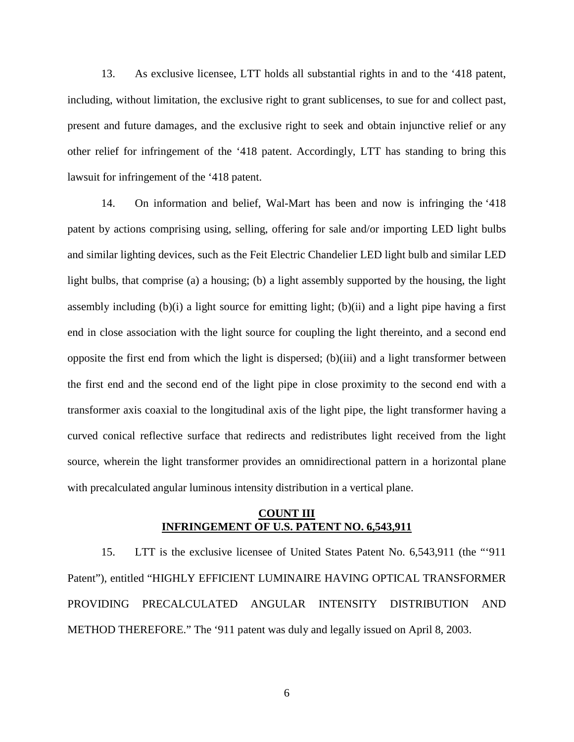13. As exclusive licensee, LTT holds all substantial rights in and to the '418 patent, including, without limitation, the exclusive right to grant sublicenses, to sue for and collect past, present and future damages, and the exclusive right to seek and obtain injunctive relief or any other relief for infringement of the '418 patent. Accordingly, LTT has standing to bring this lawsuit for infringement of the '418 patent.

14. On information and belief, Wal-Mart has been and now is infringing the '418 patent by actions comprising using, selling, offering for sale and/or importing LED light bulbs and similar lighting devices, such as the Feit Electric Chandelier LED light bulb and similar LED light bulbs, that comprise (a) a housing; (b) a light assembly supported by the housing, the light assembly including  $(b)(i)$  a light source for emitting light;  $(b)(ii)$  and a light pipe having a first end in close association with the light source for coupling the light thereinto, and a second end opposite the first end from which the light is dispersed; (b)(iii) and a light transformer between the first end and the second end of the light pipe in close proximity to the second end with a transformer axis coaxial to the longitudinal axis of the light pipe, the light transformer having a curved conical reflective surface that redirects and redistributes light received from the light source, wherein the light transformer provides an omnidirectional pattern in a horizontal plane with precalculated angular luminous intensity distribution in a vertical plane.

## **COUNT III INFRINGEMENT OF U.S. PATENT NO. 6,543,911**

15. LTT is the exclusive licensee of United States Patent No. 6,543,911 (the "'911 Patent"), entitled "HIGHLY EFFICIENT LUMINAIRE HAVING OPTICAL TRANSFORMER PROVIDING PRECALCULATED ANGULAR INTENSITY DISTRIBUTION AND METHOD THEREFORE." The '911 patent was duly and legally issued on April 8, 2003.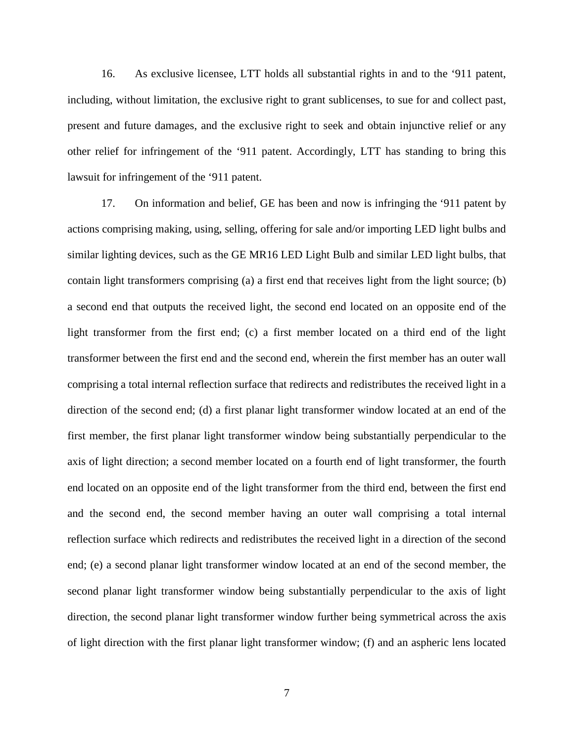16. As exclusive licensee, LTT holds all substantial rights in and to the '911 patent, including, without limitation, the exclusive right to grant sublicenses, to sue for and collect past, present and future damages, and the exclusive right to seek and obtain injunctive relief or any other relief for infringement of the '911 patent. Accordingly, LTT has standing to bring this lawsuit for infringement of the '911 patent.

17. On information and belief, GE has been and now is infringing the '911 patent by actions comprising making, using, selling, offering for sale and/or importing LED light bulbs and similar lighting devices, such as the GE MR16 LED Light Bulb and similar LED light bulbs, that contain light transformers comprising (a) a first end that receives light from the light source; (b) a second end that outputs the received light, the second end located on an opposite end of the light transformer from the first end; (c) a first member located on a third end of the light transformer between the first end and the second end, wherein the first member has an outer wall comprising a total internal reflection surface that redirects and redistributes the received light in a direction of the second end; (d) a first planar light transformer window located at an end of the first member, the first planar light transformer window being substantially perpendicular to the axis of light direction; a second member located on a fourth end of light transformer, the fourth end located on an opposite end of the light transformer from the third end, between the first end and the second end, the second member having an outer wall comprising a total internal reflection surface which redirects and redistributes the received light in a direction of the second end; (e) a second planar light transformer window located at an end of the second member, the second planar light transformer window being substantially perpendicular to the axis of light direction, the second planar light transformer window further being symmetrical across the axis of light direction with the first planar light transformer window; (f) and an aspheric lens located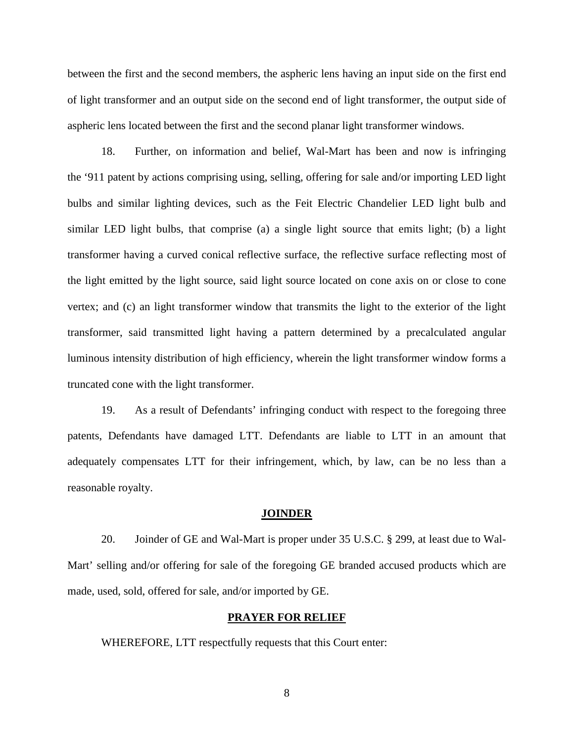between the first and the second members, the aspheric lens having an input side on the first end of light transformer and an output side on the second end of light transformer, the output side of aspheric lens located between the first and the second planar light transformer windows.

18. Further*,* on information and belief, Wal-Mart has been and now is infringing the '911 patent by actions comprising using, selling, offering for sale and/or importing LED light bulbs and similar lighting devices, such as the Feit Electric Chandelier LED light bulb and similar LED light bulbs, that comprise (a) a single light source that emits light; (b) a light transformer having a curved conical reflective surface, the reflective surface reflecting most of the light emitted by the light source, said light source located on cone axis on or close to cone vertex; and (c) an light transformer window that transmits the light to the exterior of the light transformer, said transmitted light having a pattern determined by a precalculated angular luminous intensity distribution of high efficiency, wherein the light transformer window forms a truncated cone with the light transformer.

19. As a result of Defendants' infringing conduct with respect to the foregoing three patents, Defendants have damaged LTT. Defendants are liable to LTT in an amount that adequately compensates LTT for their infringement, which, by law, can be no less than a reasonable royalty.

#### **JOINDER**

20. Joinder of GE and Wal-Mart is proper under 35 U.S.C. § 299, at least due to Wal-Mart' selling and/or offering for sale of the foregoing GE branded accused products which are made, used, sold, offered for sale, and/or imported by GE.

#### **PRAYER FOR RELIEF**

WHEREFORE, LTT respectfully requests that this Court enter: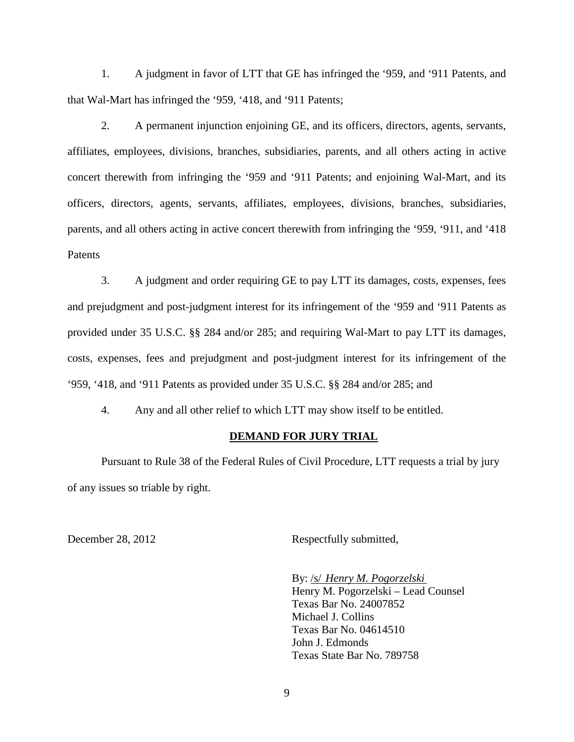1. A judgment in favor of LTT that GE has infringed the '959, and '911 Patents, and that Wal-Mart has infringed the '959, '418, and '911 Patents;

2. A permanent injunction enjoining GE, and its officers, directors, agents, servants, affiliates, employees, divisions, branches, subsidiaries, parents, and all others acting in active concert therewith from infringing the '959 and '911 Patents; and enjoining Wal-Mart, and its officers, directors, agents, servants, affiliates, employees, divisions, branches, subsidiaries, parents, and all others acting in active concert therewith from infringing the '959, '911, and '418 Patents

3. A judgment and order requiring GE to pay LTT its damages, costs, expenses, fees and prejudgment and post-judgment interest for its infringement of the '959 and '911 Patents as provided under 35 U.S.C. §§ 284 and/or 285; and requiring Wal-Mart to pay LTT its damages, costs, expenses, fees and prejudgment and post-judgment interest for its infringement of the '959, '418, and '911 Patents as provided under 35 U.S.C. §§ 284 and/or 285; and

4. Any and all other relief to which LTT may show itself to be entitled.

### **DEMAND FOR JURY TRIAL**

Pursuant to Rule 38 of the Federal Rules of Civil Procedure, LTT requests a trial by jury of any issues so triable by right.

December 28, 2012 Respectfully submitted,

By: /s/ *Henry M. Pogorzelski* Henry M. Pogorzelski – Lead Counsel Texas Bar No. 24007852 Michael J. Collins Texas Bar No. 04614510 John J. Edmonds Texas State Bar No. 789758